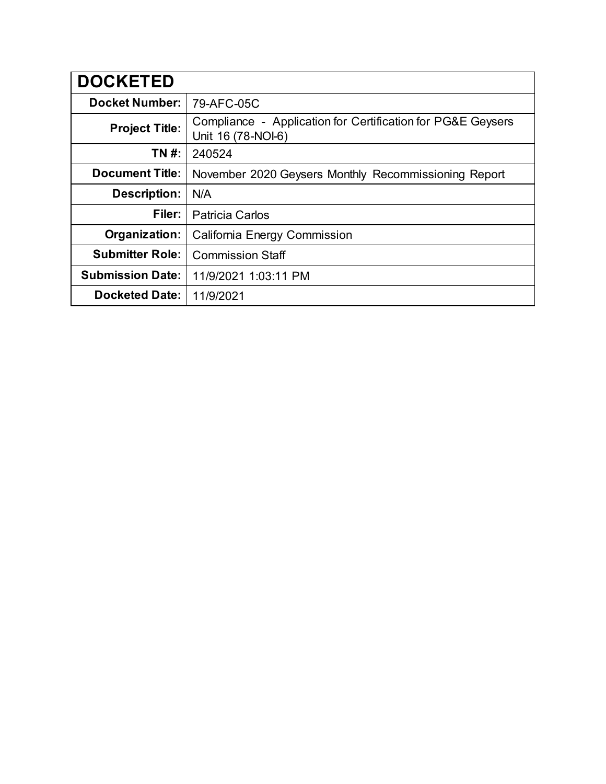| <b>DOCKETED</b>         |                                                                                   |
|-------------------------|-----------------------------------------------------------------------------------|
| <b>Docket Number:</b>   | 79-AFC-05C                                                                        |
| <b>Project Title:</b>   | Compliance - Application for Certification for PG&E Geysers<br>Unit 16 (78-NOI-6) |
| TN #:                   | 240524                                                                            |
| <b>Document Title:</b>  | November 2020 Geysers Monthly Recommissioning Report                              |
| <b>Description:</b>     | N/A                                                                               |
| Filer:                  | <b>Patricia Carlos</b>                                                            |
| Organization:           | <b>California Energy Commission</b>                                               |
| <b>Submitter Role:</b>  | <b>Commission Staff</b>                                                           |
| <b>Submission Date:</b> | 11/9/2021 1:03:11 PM                                                              |
| <b>Docketed Date:</b>   | 11/9/2021                                                                         |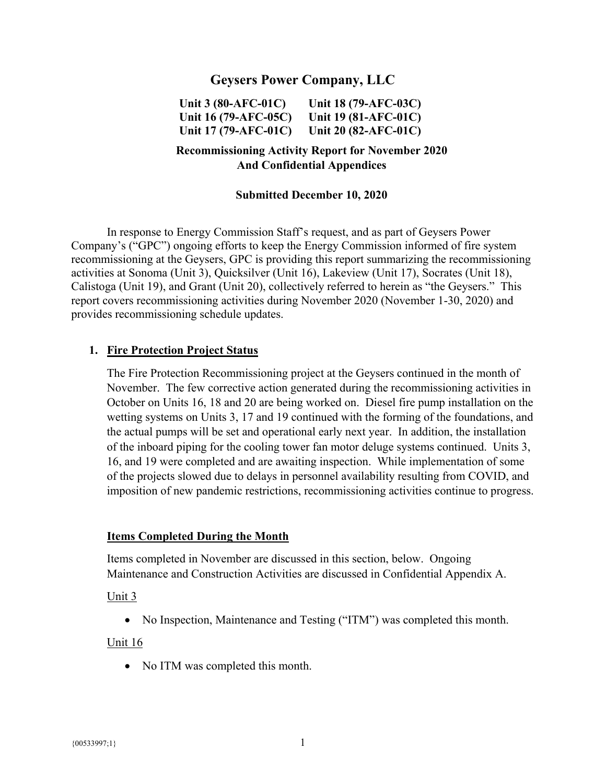# **Geysers Power Company, LLC**

**Unit 3 (80-AFC-01C) Unit 16 (79-AFC-05C) Unit 17 (79-AFC-01C) Unit 18 (79-AFC-03C) Unit 19 (81-AFC-01C) Unit 20 (82-AFC-01C)** 

## **Recommissioning Activity Report for November 2020 And Confidential Appendices**

#### **Submitted December 10, 2020**

In response to Energy Commission Staff's request, and as part of Geysers Power Company's ("GPC") ongoing efforts to keep the Energy Commission informed of fire system recommissioning at the Geysers, GPC is providing this report summarizing the recommissioning activities at Sonoma (Unit 3), Quicksilver (Unit 16), Lakeview (Unit 17), Socrates (Unit 18), Calistoga (Unit 19), and Grant (Unit 20), collectively referred to herein as "the Geysers." This report covers recommissioning activities during November 2020 (November 1-30, 2020) and provides recommissioning schedule updates.

#### **1. Fire Protection Project Status**

The Fire Protection Recommissioning project at the Geysers continued in the month of November. The few corrective action generated during the recommissioning activities in October on Units 16, 18 and 20 are being worked on. Diesel fire pump installation on the wetting systems on Units 3, 17 and 19 continued with the forming of the foundations, and the actual pumps will be set and operational early next year. In addition, the installation of the inboard piping for the cooling tower fan motor deluge systems continued. Units 3, 16, and 19 were completed and are awaiting inspection. While implementation of some of the projects slowed due to delays in personnel availability resulting from COVID, and imposition of new pandemic restrictions, recommissioning activities continue to progress.

#### **Items Completed During the Month**

Items completed in November are discussed in this section, below. Ongoing Maintenance and Construction Activities are discussed in Confidential Appendix A.

#### Unit 3

• No Inspection, Maintenance and Testing ("ITM") was completed this month.

#### Unit 16

• No ITM was completed this month.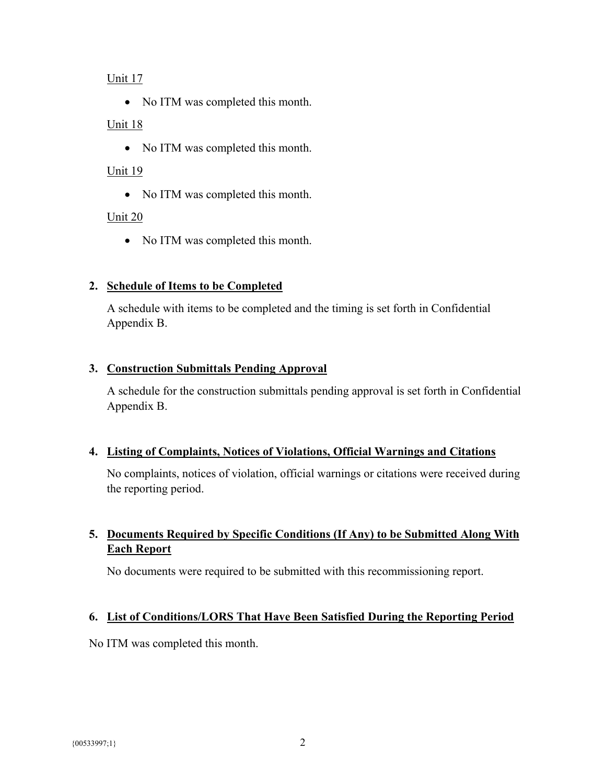#### Unit 17

• No ITM was completed this month.

### Unit 18

• No ITM was completed this month.

### Unit 19

• No ITM was completed this month.

## Unit 20

• No ITM was completed this month.

## **2. Schedule of Items to be Completed**

A schedule with items to be completed and the timing is set forth in Confidential Appendix B.

## **3. Construction Submittals Pending Approval**

A schedule for the construction submittals pending approval is set forth in Confidential Appendix B.

## **4. Listing of Complaints, Notices of Violations, Official Warnings and Citations**

No complaints, notices of violation, official warnings or citations were received during the reporting period.

# **5. Documents Required by Specific Conditions (If Any) to be Submitted Along With Each Report**

No documents were required to be submitted with this recommissioning report.

# **6. List of Conditions/LORS That Have Been Satisfied During the Reporting Period**

No ITM was completed this month.